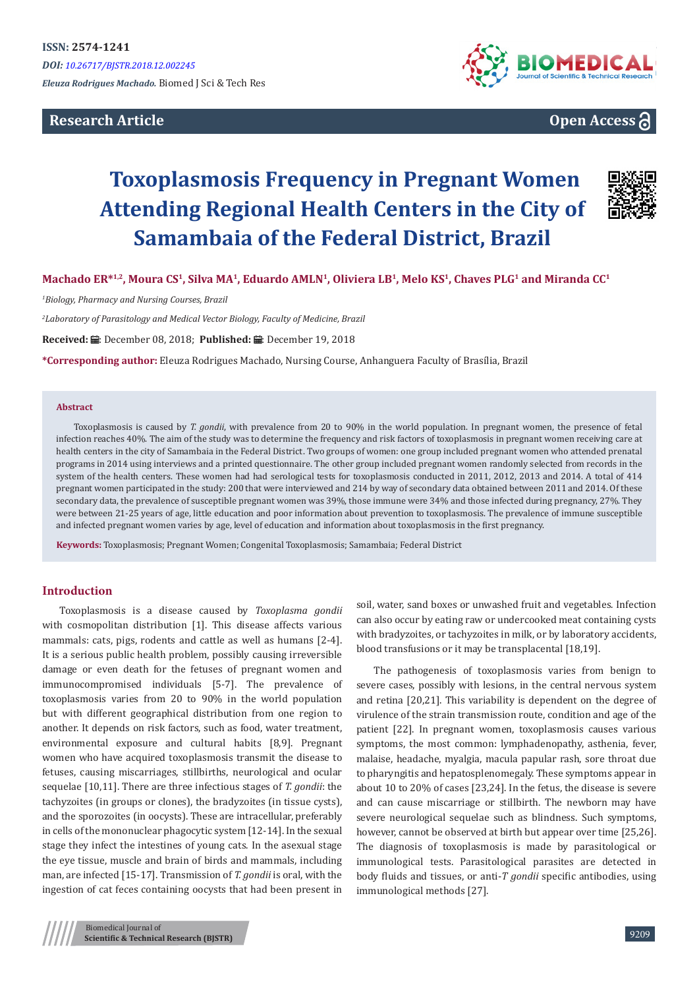# **Research Article**



# **Open Access**

# **Toxoplasmosis Frequency in Pregnant Women Attending Regional Health Centers in the City of Samambaia of the Federal District, Brazil**



**Machado ER\*1,2, Moura CS<sup>1</sup>, Silva MA<sup>1</sup>, Eduardo AMLN<sup>1</sup>, Oliviera LB<sup>1</sup>, Melo KS<sup>1</sup>, Chaves PLG<sup>1</sup> and Miranda CC<sup>1</sup>**

*1 Biology, Pharmacy and Nursing Courses, Brazil*

*2 Laboratory of Parasitology and Medical Vector Biology, Faculty of Medicine, Brazil*

Received: *a*: December 08, 2018; Published: a: December 19, 2018

**\*Corresponding author:** Eleuza Rodrigues Machado, Nursing Course, Anhanguera Faculty of Brasília, Brazil

#### **Abstract**

Toxoplasmosis is caused by *T. gondii*, with prevalence from 20 to 90% in the world population. In pregnant women, the presence of fetal infection reaches 40%. The aim of the study was to determine the frequency and risk factors of toxoplasmosis in pregnant women receiving care at health centers in the city of Samambaia in the Federal District. Two groups of women: one group included pregnant women who attended prenatal programs in 2014 using interviews and a printed questionnaire. The other group included pregnant women randomly selected from records in the system of the health centers. These women had had serological tests for toxoplasmosis conducted in 2011, 2012, 2013 and 2014. A total of 414 pregnant women participated in the study: 200 that were interviewed and 214 by way of secondary data obtained between 2011 and 2014. Of these secondary data, the prevalence of susceptible pregnant women was 39%, those immune were 34% and those infected during pregnancy, 27%. They were between 21-25 years of age, little education and poor information about prevention to toxoplasmosis. The prevalence of immune susceptible and infected pregnant women varies by age, level of education and information about toxoplasmosis in the first pregnancy.

**Keywords:** Toxoplasmosis; Pregnant Women; Congenital Toxoplasmosis; Samambaia; Federal District

## **Introduction**

Toxoplasmosis is a disease caused by *Toxoplasma gondii*  with cosmopolitan distribution [1]. This disease affects various mammals: cats, pigs, rodents and cattle as well as humans [2-4]. It is a serious public health problem, possibly causing irreversible damage or even death for the fetuses of pregnant women and immunocompromised individuals [5-7]. The prevalence of toxoplasmosis varies from 20 to 90% in the world population but with different geographical distribution from one region to another. It depends on risk factors, such as food, water treatment, environmental exposure and cultural habits [8,9]. Pregnant women who have acquired toxoplasmosis transmit the disease to fetuses, causing miscarriages, stillbirths, neurological and ocular sequelae [10,11]. There are three infectious stages of *T. gondii*: the tachyzoites (in groups or clones), the bradyzoites (in tissue cysts), and the sporozoites (in oocysts). These are intracellular, preferably in cells of the mononuclear phagocytic system [12-14]. In the sexual stage they infect the intestines of young cats. In the asexual stage the eye tissue, muscle and brain of birds and mammals, including man, are infected [15-17]. Transmission of *T. gondii* is oral, with the ingestion of cat feces containing oocysts that had been present in

soil, water, sand boxes or unwashed fruit and vegetables. Infection can also occur by eating raw or undercooked meat containing cysts with bradyzoites, or tachyzoites in milk, or by laboratory accidents, blood transfusions or it may be transplacental [18,19].

The pathogenesis of toxoplasmosis varies from benign to severe cases, possibly with lesions, in the central nervous system and retina [20,21]. This variability is dependent on the degree of virulence of the strain transmission route, condition and age of the patient [22]. In pregnant women, toxoplasmosis causes various symptoms, the most common: lymphadenopathy, asthenia, fever, malaise, headache, myalgia, macula papular rash, sore throat due to pharyngitis and hepatosplenomegaly. These symptoms appear in about 10 to 20% of cases [23,24]. In the fetus, the disease is severe and can cause miscarriage or stillbirth. The newborn may have severe neurological sequelae such as blindness. Such symptoms, however, cannot be observed at birth but appear over time [25,26]. The diagnosis of toxoplasmosis is made by parasitological or immunological tests. Parasitological parasites are detected in body fluids and tissues, or anti-*T gondii* specific antibodies, using immunological methods [27].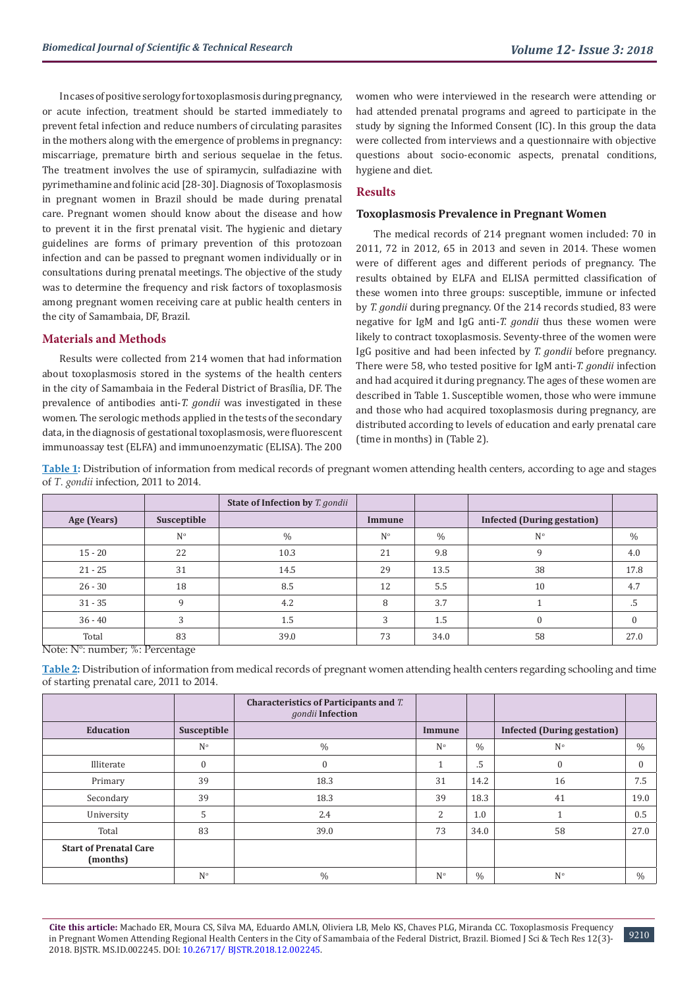In cases of positive serology for toxoplasmosis during pregnancy, or acute infection, treatment should be started immediately to prevent fetal infection and reduce numbers of circulating parasites in the mothers along with the emergence of problems in pregnancy: miscarriage, premature birth and serious sequelae in the fetus. The treatment involves the use of spiramycin, sulfadiazine with pyrimethamine and folinic acid [28-30]. Diagnosis of Toxoplasmosis in pregnant women in Brazil should be made during prenatal care. Pregnant women should know about the disease and how to prevent it in the first prenatal visit. The hygienic and dietary guidelines are forms of primary prevention of this protozoan infection and can be passed to pregnant women individually or in consultations during prenatal meetings. The objective of the study was to determine the frequency and risk factors of toxoplasmosis among pregnant women receiving care at public health centers in the city of Samambaia, DF, Brazil.

## **Materials and Methods**

Results were collected from 214 women that had information about toxoplasmosis stored in the systems of the health centers in the city of Samambaia in the Federal District of Brasília, DF. The prevalence of antibodies anti-*T. gondii* was investigated in these women. The serologic methods applied in the tests of the secondary data, in the diagnosis of gestational toxoplasmosis, were fluorescent immunoassay test (ELFA) and immunoenzymatic (ELISA). The 200

women who were interviewed in the research were attending or had attended prenatal programs and agreed to participate in the study by signing the Informed Consent (IC). In this group the data were collected from interviews and a questionnaire with objective questions about socio-economic aspects, prenatal conditions, hygiene and diet.

# **Results**

#### **Toxoplasmosis Prevalence in Pregnant Women**

The medical records of 214 pregnant women included: 70 in 2011, 72 in 2012, 65 in 2013 and seven in 2014. These women were of different ages and different periods of pregnancy. The results obtained by ELFA and ELISA permitted classification of these women into three groups: susceptible, immune or infected by *T. gondii* during pregnancy. Of the 214 records studied, 83 were negative for IgM and IgG anti-*T. gondii* thus these women were likely to contract toxoplasmosis. Seventy-three of the women were IgG positive and had been infected by *T. gondii* before pregnancy. There were 58, who tested positive for IgM anti-*T. gondii* infection and had acquired it during pregnancy. The ages of these women are described in Table 1. Susceptible women, those who were immune and those who had acquired toxoplasmosis during pregnancy, are distributed according to levels of education and early prenatal care (time in months) in (Table 2).

**Table 1:** Distribution of information from medical records of pregnant women attending health centers, according to age and stages of *T. gondii* infection, 2011 to 2014.

|                      |             | <b>State of Infection by T. gondii</b> |             |      |                                    |      |
|----------------------|-------------|----------------------------------------|-------------|------|------------------------------------|------|
| Age (Years)          | Susceptible |                                        | Immune      |      | <b>Infected (During gestation)</b> |      |
|                      | $N^{\circ}$ | $\%$                                   | $N^{\circ}$ | $\%$ | $N^{\circ}$                        | $\%$ |
| $15 - 20$            | 22          | 10.3                                   | 21          | 9.8  |                                    | 4.0  |
| $21 - 25$            | 31          | 14.5                                   | 29          | 13.5 | 38                                 | 17.8 |
| $26 - 30$            | 18          | 8.5                                    | 12          | 5.5  | 10                                 | 4.7  |
| $31 - 35$            | q           | 4.2                                    | 8           | 3.7  |                                    |      |
| $36 - 40$            |             | 1.5                                    | 3           | 1.5  |                                    |      |
| Total<br>$NT + NT_0$ | 83<br>0/2D  | 39.0                                   | 73          | 34.0 | 58                                 | 27.0 |

Note: N<sup>o</sup>: number; %: Percentage

**Table 2:** Distribution of information from medical records of pregnant women attending health centers regarding schooling and time of starting prenatal care, 2011 to 2014.

|                                           |             | Characteristics of Participants and T.<br>gondii Infection |                |               |                                    |      |
|-------------------------------------------|-------------|------------------------------------------------------------|----------------|---------------|------------------------------------|------|
| Education                                 | Susceptible |                                                            | Immune         |               | <b>Infected (During gestation)</b> |      |
|                                           | $N^{\circ}$ | $\frac{0}{0}$                                              | N <sup>o</sup> | $\frac{0}{0}$ | $N^{\circ}$                        | $\%$ |
| Illiterate                                | $\Omega$    | $\mathbf{0}$                                               |                | .5            | $\theta$                           | 0    |
| Primary                                   | 39          | 18.3                                                       | 31             | 14.2          | 16                                 | 7.5  |
| Secondary                                 | 39          | 18.3                                                       | 39             | 18.3          | 41                                 | 19.0 |
| University                                | 5           | 2.4                                                        | 2              | 1.0           |                                    | 0.5  |
| Total                                     | 83          | 39.0                                                       | 73             | 34.0          | 58                                 | 27.0 |
| <b>Start of Prenatal Care</b><br>(months) |             |                                                            |                |               |                                    |      |
|                                           | $N^{\circ}$ | $\frac{0}{0}$                                              | N <sup>o</sup> | $\%$          | $N^{\circ}$                        | $\%$ |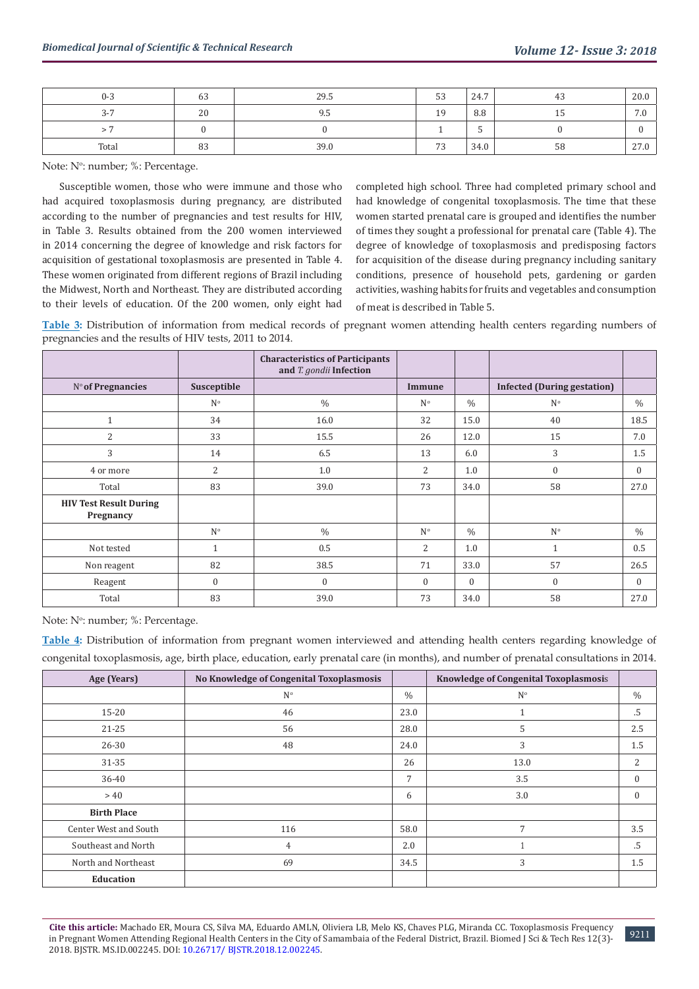| $0 - 3$ | $\sim$<br>63 | 29.5 | 53 | 24.7 |    | 20.0                 |
|---------|--------------|------|----|------|----|----------------------|
| $3 - 7$ | 20           | 9.5  | 19 | 8.8  |    | 70<br>$\overline{U}$ |
|         |              |      |    | س    |    |                      |
| Total   | 83           | 39.0 | 73 | 34.0 | 58 | 27.0                 |

Note: N<sup>o</sup>: number; %: Percentage.

Susceptible women, those who were immune and those who had acquired toxoplasmosis during pregnancy, are distributed according to the number of pregnancies and test results for HIV, in Table 3. Results obtained from the 200 women interviewed in 2014 concerning the degree of knowledge and risk factors for acquisition of gestational toxoplasmosis are presented in Table 4. These women originated from different regions of Brazil including the Midwest, North and Northeast. They are distributed according to their levels of education. Of the 200 women, only eight had

completed high school. Three had completed primary school and had knowledge of congenital toxoplasmosis. The time that these women started prenatal care is grouped and identifies the number of times they sought a professional for prenatal care (Table 4). The degree of knowledge of toxoplasmosis and predisposing factors for acquisition of the disease during pregnancy including sanitary conditions, presence of household pets, gardening or garden activities, washing habits for fruits and vegetables and consumption of meat is described in Table 5.

**Table 3:** Distribution of information from medical records of pregnant women attending health centers regarding numbers of pregnancies and the results of HIV tests, 2011 to 2014.

|                                            |              | <b>Characteristics of Participants</b><br>and T. gondii Infection |                |               |                                    |               |
|--------------------------------------------|--------------|-------------------------------------------------------------------|----------------|---------------|------------------------------------|---------------|
| Nº of Pregnancies                          | Susceptible  |                                                                   | Immune         |               | <b>Infected (During gestation)</b> |               |
|                                            | $N^{\circ}$  | $\frac{0}{0}$                                                     | $N^{\circ}$    | $\frac{0}{0}$ | $N^{\circ}$                        | $\%$          |
| $\mathbf{1}$                               | 34           | 16.0                                                              | 32             | 15.0          | 40                                 | 18.5          |
| 2                                          | 33           | 15.5                                                              | 26             | 12.0          | 15                                 | 7.0           |
| 3                                          | 14           | 6.5                                                               | 13             | 6.0           | 3                                  | 1.5           |
| 4 or more                                  | 2            | 1.0                                                               | 2              | 1.0           | $\mathbf{0}$                       | $\mathbf{0}$  |
| Total                                      | 83           | 39.0                                                              | 73             | 34.0          | 58                                 | 27.0          |
| <b>HIV Test Result During</b><br>Pregnancy |              |                                                                   |                |               |                                    |               |
|                                            | $N^{\circ}$  | $\frac{0}{0}$                                                     | $N^{\circ}$    | $\frac{0}{0}$ | $N^{\circ}$                        | $\frac{0}{0}$ |
| Not tested                                 | 1            | 0.5                                                               | $\overline{2}$ | 1.0           | $\mathbf{1}$                       | 0.5           |
| Non reagent                                | 82           | 38.5                                                              | 71             | 33.0          | 57                                 | 26.5          |
| Reagent                                    | $\mathbf{0}$ | $\mathbf{0}$                                                      | $\Omega$       | $\Omega$      | $\mathbf{0}$                       | $\Omega$      |
| Total                                      | 83           | 39.0                                                              | 73             | 34.0          | 58                                 | 27.0          |

Note: N<sup>o</sup>: number; %: Percentage.

**Table 4:** Distribution of information from pregnant women interviewed and attending health centers regarding knowledge of congenital toxoplasmosis, age, birth place, education, early prenatal care (in months), and number of prenatal consultations in 2014.

| Age (Years)           | <b>No Knowledge of Congenital Toxoplasmosis</b> |      | <b>Knowledge of Congenital Toxoplasmosis</b> |                  |
|-----------------------|-------------------------------------------------|------|----------------------------------------------|------------------|
|                       | $N^{\circ}$                                     | $\%$ | N <sup>o</sup>                               | $\%$             |
| $15 - 20$             | 46                                              | 23.0 |                                              | .5               |
| $21 - 25$             | 56                                              | 28.0 | 5                                            | 2.5              |
| $26 - 30$             | 48                                              | 24.0 | 3                                            | 1.5              |
| $31 - 35$             |                                                 | 26   | 13.0                                         | 2                |
| 36-40                 |                                                 | 7    | 3.5                                          | $\mathbf{0}$     |
| >40                   |                                                 | 6    | 3.0                                          | $\boldsymbol{0}$ |
| <b>Birth Place</b>    |                                                 |      |                                              |                  |
| Center West and South | 116                                             | 58.0 | 7                                            | 3.5              |
| Southeast and North   | 4                                               | 2.0  |                                              | .5               |
| North and Northeast   | 69                                              | 34.5 | 3                                            | 1.5              |
| Education             |                                                 |      |                                              |                  |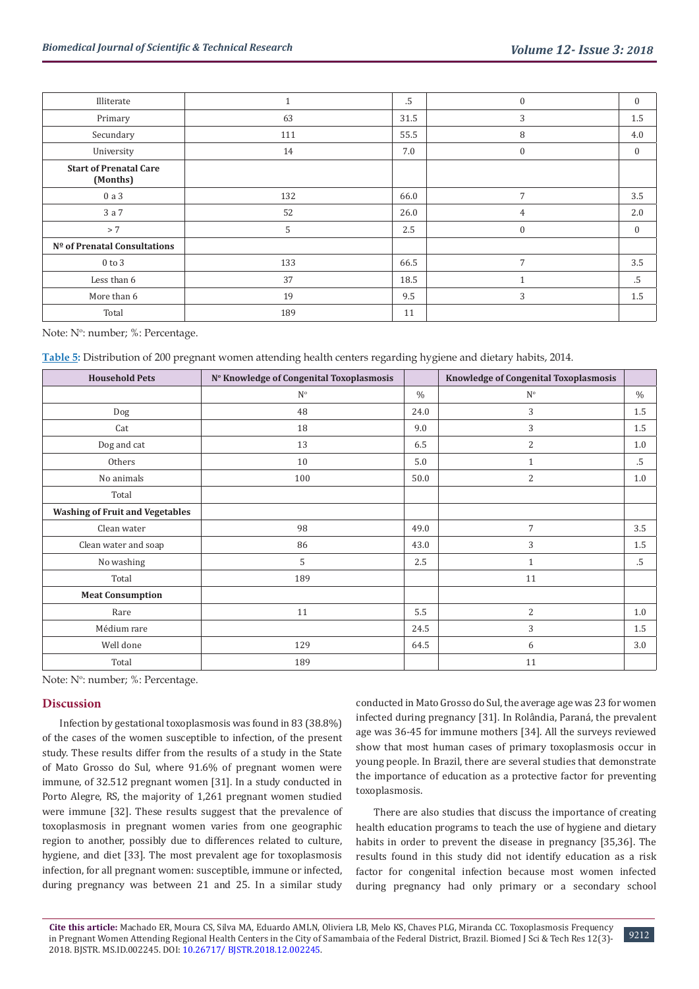| Illiterate                                |     | .5   | $\boldsymbol{0}$ | $\boldsymbol{0}$ |
|-------------------------------------------|-----|------|------------------|------------------|
| Primary                                   | 63  | 31.5 | 3                | 1.5              |
| Secundary                                 | 111 | 55.5 | 8                | 4.0              |
| University                                | 14  | 7.0  | $\boldsymbol{0}$ | $\boldsymbol{0}$ |
| <b>Start of Prenatal Care</b><br>(Months) |     |      |                  |                  |
| 0a3                                       | 132 | 66.0 | 7                | 3.5              |
| 3 a 7                                     | 52  | 26.0 | $\overline{4}$   | 2.0              |
| $> 7$                                     | 5   | 2.5  | $\boldsymbol{0}$ | $\boldsymbol{0}$ |
| Nº of Prenatal Consultations              |     |      |                  |                  |
| $0$ to $3$                                | 133 | 66.5 | $\overline{7}$   | 3.5              |
| Less than 6                               | 37  | 18.5 |                  | .5               |
| More than 6                               | 19  | 9.5  | 3                | 1.5              |
| Total                                     | 189 | 11   |                  |                  |

Note: N<sup>o</sup>: number; %: Percentage.

**Table 5:** Distribution of 200 pregnant women attending health centers regarding hygiene and dietary habits, 2014.

| <b>Household Pets</b>                  | Nº Knowledge of Congenital Toxoplasmosis |               | <b>Knowledge of Congenital Toxoplasmosis</b> |               |
|----------------------------------------|------------------------------------------|---------------|----------------------------------------------|---------------|
|                                        | $N^{\circ}$                              | $\frac{0}{0}$ | $\mathrm{N}^{\rm o}$                         | $\frac{0}{0}$ |
| Dog                                    | 48                                       | 24.0          | 3                                            | 1.5           |
| Cat                                    | 18                                       | 9.0           | 3                                            | $1.5\,$       |
| Dog and cat                            | 13                                       | 6.5           | $\overline{2}$                               | 1.0           |
| Others                                 | 10                                       | 5.0           | $\mathbf{1}$                                 | .5            |
| No animals                             | 100                                      | 50.0          | $\overline{2}$                               | 1.0           |
| Total                                  |                                          |               |                                              |               |
| <b>Washing of Fruit and Vegetables</b> |                                          |               |                                              |               |
| Clean water                            | 98                                       | 49.0          | 7                                            | 3.5           |
| Clean water and soap                   | 86                                       | 43.0          | 3                                            | $1.5\,$       |
| No washing                             | 5                                        | 2.5           | $\mathbf{1}$                                 | $.5\,$        |
| Total                                  | 189                                      |               | 11                                           |               |
| <b>Meat Consumption</b>                |                                          |               |                                              |               |
| Rare                                   | 11                                       | 5.5           | $\overline{2}$                               | 1.0           |
| Médium rare                            |                                          | 24.5          | 3                                            | $1.5\,$       |
| Well done                              | 129                                      | 64.5          | 6                                            | 3.0           |
| Total                                  | 189                                      |               | 11                                           |               |

Note: N<sup>o</sup>: number; %: Percentage.

#### **Discussion**

Infection by gestational toxoplasmosis was found in 83 (38.8%) of the cases of the women susceptible to infection, of the present study. These results differ from the results of a study in the State of Mato Grosso do Sul, where 91.6% of pregnant women were immune, of 32.512 pregnant women [31]. In a study conducted in Porto Alegre, RS, the majority of 1,261 pregnant women studied were immune [32]. These results suggest that the prevalence of toxoplasmosis in pregnant women varies from one geographic region to another, possibly due to differences related to culture, hygiene, and diet [33]. The most prevalent age for toxoplasmosis infection, for all pregnant women: susceptible, immune or infected, during pregnancy was between 21 and 25. In a similar study

conducted in Mato Grosso do Sul, the average age was 23 for women infected during pregnancy [31]. In Rolândia, Paraná, the prevalent age was 36-45 for immune mothers [34]. All the surveys reviewed show that most human cases of primary toxoplasmosis occur in young people. In Brazil, there are several studies that demonstrate the importance of education as a protective factor for preventing toxoplasmosis.

There are also studies that discuss the importance of creating health education programs to teach the use of hygiene and dietary habits in order to prevent the disease in pregnancy [35,36]. The results found in this study did not identify education as a risk factor for congenital infection because most women infected during pregnancy had only primary or a secondary school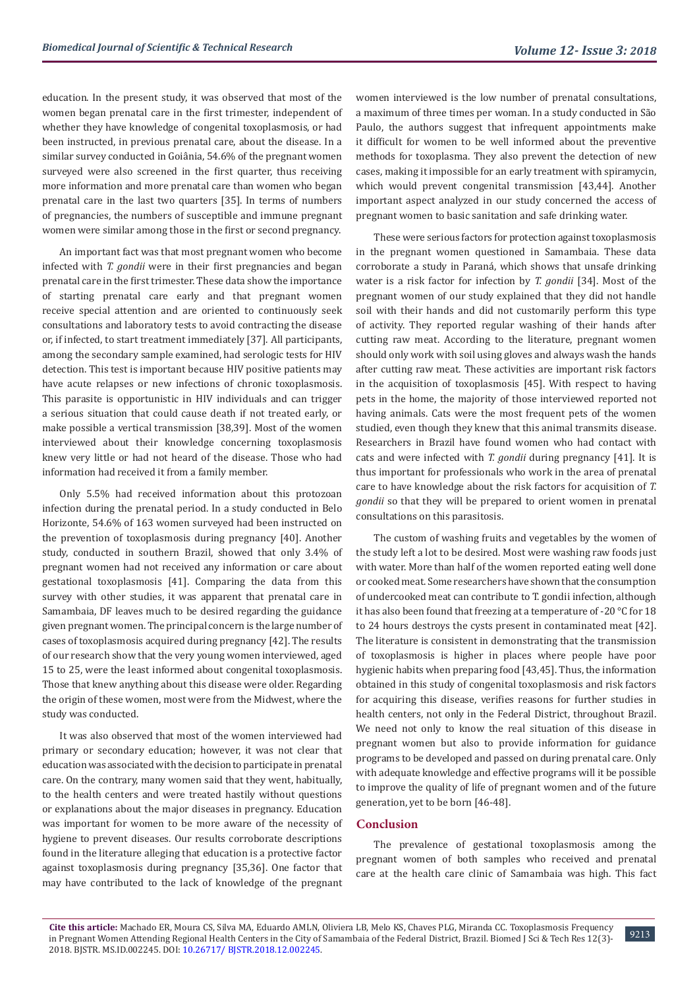education. In the present study, it was observed that most of the women began prenatal care in the first trimester, independent of whether they have knowledge of congenital toxoplasmosis, or had been instructed, in previous prenatal care, about the disease. In a similar survey conducted in Goiânia, 54.6% of the pregnant women surveyed were also screened in the first quarter, thus receiving more information and more prenatal care than women who began prenatal care in the last two quarters [35]. In terms of numbers of pregnancies, the numbers of susceptible and immune pregnant women were similar among those in the first or second pregnancy.

An important fact was that most pregnant women who become infected with *T. gondii* were in their first pregnancies and began prenatal care in the first trimester. These data show the importance of starting prenatal care early and that pregnant women receive special attention and are oriented to continuously seek consultations and laboratory tests to avoid contracting the disease or, if infected, to start treatment immediately [37]. All participants, among the secondary sample examined, had serologic tests for HIV detection. This test is important because HIV positive patients may have acute relapses or new infections of chronic toxoplasmosis. This parasite is opportunistic in HIV individuals and can trigger a serious situation that could cause death if not treated early, or make possible a vertical transmission [38,39]. Most of the women interviewed about their knowledge concerning toxoplasmosis knew very little or had not heard of the disease. Those who had information had received it from a family member.

Only 5.5% had received information about this protozoan infection during the prenatal period. In a study conducted in Belo Horizonte, 54.6% of 163 women surveyed had been instructed on the prevention of toxoplasmosis during pregnancy [40]. Another study, conducted in southern Brazil, showed that only 3.4% of pregnant women had not received any information or care about gestational toxoplasmosis [41]. Comparing the data from this survey with other studies, it was apparent that prenatal care in Samambaia, DF leaves much to be desired regarding the guidance given pregnant women. The principal concern is the large number of cases of toxoplasmosis acquired during pregnancy [42]. The results of our research show that the very young women interviewed, aged 15 to 25, were the least informed about congenital toxoplasmosis. Those that knew anything about this disease were older. Regarding the origin of these women, most were from the Midwest, where the study was conducted.

It was also observed that most of the women interviewed had primary or secondary education; however, it was not clear that education was associated with the decision to participate in prenatal care. On the contrary, many women said that they went, habitually, to the health centers and were treated hastily without questions or explanations about the major diseases in pregnancy. Education was important for women to be more aware of the necessity of hygiene to prevent diseases. Our results corroborate descriptions found in the literature alleging that education is a protective factor against toxoplasmosis during pregnancy [35,36]. One factor that may have contributed to the lack of knowledge of the pregnant women interviewed is the low number of prenatal consultations, a maximum of three times per woman. In a study conducted in São Paulo, the authors suggest that infrequent appointments make it difficult for women to be well informed about the preventive methods for toxoplasma. They also prevent the detection of new cases, making it impossible for an early treatment with spiramycin, which would prevent congenital transmission [43,44]. Another important aspect analyzed in our study concerned the access of pregnant women to basic sanitation and safe drinking water.

These were serious factors for protection against toxoplasmosis in the pregnant women questioned in Samambaia. These data corroborate a study in Paraná, which shows that unsafe drinking water is a risk factor for infection by *T. gondii* [34]. Most of the pregnant women of our study explained that they did not handle soil with their hands and did not customarily perform this type of activity. They reported regular washing of their hands after cutting raw meat. According to the literature, pregnant women should only work with soil using gloves and always wash the hands after cutting raw meat. These activities are important risk factors in the acquisition of toxoplasmosis [45]. With respect to having pets in the home, the majority of those interviewed reported not having animals. Cats were the most frequent pets of the women studied, even though they knew that this animal transmits disease. Researchers in Brazil have found women who had contact with cats and were infected with *T. gondii* during pregnancy [41]. It is thus important for professionals who work in the area of prenatal care to have knowledge about the risk factors for acquisition of *T. gondii* so that they will be prepared to orient women in prenatal consultations on this parasitosis.

The custom of washing fruits and vegetables by the women of the study left a lot to be desired. Most were washing raw foods just with water. More than half of the women reported eating well done or cooked meat. Some researchers have shown that the consumption of undercooked meat can contribute to T. gondii infection, although it has also been found that freezing at a temperature of -20 °C for 18 to 24 hours destroys the cysts present in contaminated meat [42]. The literature is consistent in demonstrating that the transmission of toxoplasmosis is higher in places where people have poor hygienic habits when preparing food [43,45]. Thus, the information obtained in this study of congenital toxoplasmosis and risk factors for acquiring this disease, verifies reasons for further studies in health centers, not only in the Federal District, throughout Brazil. We need not only to know the real situation of this disease in pregnant women but also to provide information for guidance programs to be developed and passed on during prenatal care. Only with adequate knowledge and effective programs will it be possible to improve the quality of life of pregnant women and of the future generation, yet to be born [46-48].

## **Conclusion**

The prevalence of gestational toxoplasmosis among the pregnant women of both samples who received and prenatal care at the health care clinic of Samambaia was high. This fact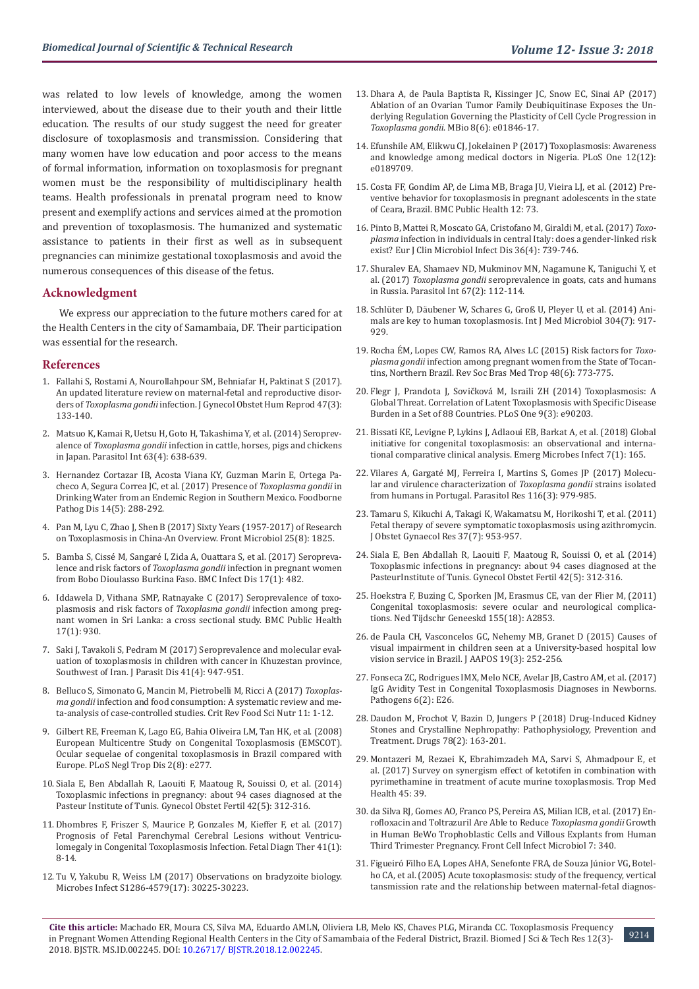was related to low levels of knowledge, among the women interviewed, about the disease due to their youth and their little education. The results of our study suggest the need for greater disclosure of toxoplasmosis and transmission. Considering that many women have low education and poor access to the means of formal information, information on toxoplasmosis for pregnant women must be the responsibility of multidisciplinary health teams. Health professionals in prenatal program need to know present and exemplify actions and services aimed at the promotion and prevention of toxoplasmosis. The humanized and systematic assistance to patients in their first as well as in subsequent pregnancies can minimize gestational toxoplasmosis and avoid the numerous consequences of this disease of the fetus.

#### **Acknowledgment**

We express our appreciation to the future mothers cared for at the Health Centers in the city of Samambaia, DF. Their participation was essential for the research.

#### **References**

- 1. [Fallahi S, Rostami A, Nourollahpour SM, Behniafar H, Paktinat S \(2017\).](https://www.ncbi.nlm.nih.gov/pubmed/29229361)  [An updated literature review on maternal-fetal and reproductive disor](https://www.ncbi.nlm.nih.gov/pubmed/29229361)ders of *Toxoplasma gondii* [infection. J Gynecol Obstet Hum Reprod 47\(3\):](https://www.ncbi.nlm.nih.gov/pubmed/29229361)  [133-140.](https://www.ncbi.nlm.nih.gov/pubmed/29229361)
- 2. [Matsuo K, Kamai R, Uetsu H, Goto H, Takashima Y, et al. \(2014\) Seroprev](https://www.sciencedirect.com/science/article/pii/S1383576914000518)alence of *Toxoplasma gondii* [infection in cattle, horses, pigs and chickens](https://www.sciencedirect.com/science/article/pii/S1383576914000518)  [in Japan. Parasitol Int 63\(4\): 638-639.](https://www.sciencedirect.com/science/article/pii/S1383576914000518)
- 3. [Hernandez Cortazar IB, Acosta Viana KY, Guzman Marin E, Ortega Pa](https://www.ncbi.nlm.nih.gov/pubmed/28414523)[checo A, Segura Correa JC, et al. \(2017\) Presence of](https://www.ncbi.nlm.nih.gov/pubmed/28414523) *Toxoplasma gondii* in [Drinking Water from an Endemic Region in Southern Mexico. Foodborne](https://www.ncbi.nlm.nih.gov/pubmed/28414523)  [Pathog Dis 14\(5\): 288-292.](https://www.ncbi.nlm.nih.gov/pubmed/28414523)
- 4. [Pan M, Lyu C, Zhao J, Shen B \(2017\) Sixty Years \(1957-2017\) of Research](https://www.ncbi.nlm.nih.gov/pubmed/28993763)  [on Toxoplasmosis in China-An Overview. Front Microbiol 25\(8\): 1825.](https://www.ncbi.nlm.nih.gov/pubmed/28993763)
- 5. [Bamba S, Cissé M, Sangaré I, Zida A, Ouattara S, et al. \(2017\) Seropreva](https://www.ncbi.nlm.nih.gov/pmc/articles/PMC5504642/)lence and risk factors of *Toxoplasma gondii* [infection in pregnant women](https://www.ncbi.nlm.nih.gov/pmc/articles/PMC5504642/)  [from Bobo Dioulasso Burkina Faso. BMC Infect Dis 17\(1\): 482.](https://www.ncbi.nlm.nih.gov/pmc/articles/PMC5504642/)
- 6. [Iddawela D, Vithana SMP, Ratnayake C \(2017\) Seroprevalence of toxo](https://www.ncbi.nlm.nih.gov/pubmed/29202747)[plasmosis and risk factors of](https://www.ncbi.nlm.nih.gov/pubmed/29202747) *Toxoplasma gondii* infection among preg[nant women in Sri Lanka: a cross sectional study. BMC Public Health](https://www.ncbi.nlm.nih.gov/pubmed/29202747)  [17\(1\): 930.](https://www.ncbi.nlm.nih.gov/pubmed/29202747)
- 7. [Saki J, Tavakoli S, Pedram M \(2017\) Seroprevalence and molecular eval](https://link.springer.com/article/10.1007/s12639-017-0916-4)[uation of toxoplasmosis in children with cancer in Khuzestan province,](https://link.springer.com/article/10.1007/s12639-017-0916-4)  [Southwest of Iran. J Parasit Dis 41\(4\): 947-951.](https://link.springer.com/article/10.1007/s12639-017-0916-4)
- 8. [Belluco S, Simonato G, Mancin M, Pietrobelli M, Ricci A \(2017\)](https://www.ncbi.nlm.nih.gov/pubmed/29020460) *Toxoplasma gondii* [infection and food consumption: A systematic review and me](https://www.ncbi.nlm.nih.gov/pubmed/29020460)[ta-analysis of case-controlled studies. Crit Rev Food Sci Nutr 11: 1-12.](https://www.ncbi.nlm.nih.gov/pubmed/29020460)
- 9. [Gilbert RE, Freeman K, Lago EG, Bahia Oliveira LM, Tan HK, et al. \(2008\)](https://journals.plos.org/plosntds/article?id=10.1371/journal.pntd.0000277)  [European Multicentre Study on Congenital Toxoplasmosis \(EMSCOT\).](https://journals.plos.org/plosntds/article?id=10.1371/journal.pntd.0000277)  [Ocular sequelae of congenital toxoplasmosis in Brazil compared with](https://journals.plos.org/plosntds/article?id=10.1371/journal.pntd.0000277)  [Europe. PLoS Negl Trop Dis 2\(8\): e277.](https://journals.plos.org/plosntds/article?id=10.1371/journal.pntd.0000277)
- 10. [Siala E, Ben Abdallah R, Laouiti F, Maatoug R, Souissi O, et al. \(2014\)](https://www.ncbi.nlm.nih.gov/pubmed/24787608)  [Toxoplasmic infections in pregnancy: about 94 cases diagnosed at the](https://www.ncbi.nlm.nih.gov/pubmed/24787608)  [Pasteur Institute of Tunis. Gynecol Obstet Fertil 42\(5\): 312-316.](https://www.ncbi.nlm.nih.gov/pubmed/24787608)
- 11. [Dhombres F, Friszer S, Maurice P, Gonzales M, Kieffer F, et al. \(2017\)](https://www.ncbi.nlm.nih.gov/pubmed/27093552)  [Prognosis of Fetal Parenchymal Cerebral Lesions without Ventricu](https://www.ncbi.nlm.nih.gov/pubmed/27093552)[lomegaly in Congenital Toxoplasmosis Infection. Fetal Diagn Ther 41\(1\):](https://www.ncbi.nlm.nih.gov/pubmed/27093552)  [8-14.](https://www.ncbi.nlm.nih.gov/pubmed/27093552)
- 12. [Tu V, Yakubu R, Weiss LM \(2017\) Observations on bradyzoite biology.](https://www.ncbi.nlm.nih.gov/pubmed/29287987)  [Microbes Infect S1286-4579\(17\): 30225-30223.](https://www.ncbi.nlm.nih.gov/pubmed/29287987)
- 13. [Dhara A, de Paula Baptista R, Kissinger JC, Snow EC, Sinai AP \(2017\)](https://mbio.asm.org/content/8/6/e01846-17) [Ablation of an Ovarian Tumor Family Deubiquitinase Exposes the Un](https://mbio.asm.org/content/8/6/e01846-17)[derlying Regulation Governing the Plasticity of Cell Cycle Progression in](https://mbio.asm.org/content/8/6/e01846-17) *Toxoplasma gondii*[. MBio 8\(6\): e01846-17.](https://mbio.asm.org/content/8/6/e01846-17)
- 14. [Efunshile AM, Elikwu CJ, Jokelainen P \(2017\) Toxoplasmosis: Awareness](https://www.ncbi.nlm.nih.gov/pubmed/29261738) [and knowledge among medical doctors in Nigeria. PLoS One 12\(12\):](https://www.ncbi.nlm.nih.gov/pubmed/29261738) [e0189709.](https://www.ncbi.nlm.nih.gov/pubmed/29261738)
- 15. [Costa FF, Gondim AP, de Lima MB, Braga JU, Vieira LJ, et al. \(2012\) Pre](https://www.ncbi.nlm.nih.gov/pmc/articles/PMC3398295/)[ventive behavior for toxoplasmosis in pregnant adolescents in the state](https://www.ncbi.nlm.nih.gov/pmc/articles/PMC3398295/) [of Ceara, Brazil. BMC Public Health 12: 73.](https://www.ncbi.nlm.nih.gov/pmc/articles/PMC3398295/)
- 16. [Pinto B, Mattei R, Moscato GA, Cristofano M, Giraldi M, et al. \(2017\)](https://www.ncbi.nlm.nih.gov/pubmed/27942885) *Toxoplasma* [infection in individuals in central Italy: does a gender-linked risk](https://www.ncbi.nlm.nih.gov/pubmed/27942885) [exist? Eur J Clin Microbiol Infect Dis 36\(4\): 739-746.](https://www.ncbi.nlm.nih.gov/pubmed/27942885)
- 17. [Shuralev EA, Shamaev ND, Mukminov MN, Nagamune K, Taniguchi Y, et](https://www.ncbi.nlm.nih.gov/pubmed/29126978) al. (2017) *Toxoplasma gondii* [seroprevalence in goats, cats and humans](https://www.ncbi.nlm.nih.gov/pubmed/29126978) [in Russia. Parasitol Int 67\(2\): 112-114.](https://www.ncbi.nlm.nih.gov/pubmed/29126978)
- 18. [Schlüter D, Däubener W, Schares G, Groß U, Pleyer U, et al. \(2014\) Ani](https://www.ncbi.nlm.nih.gov/pubmed/25240467)[mals are key to human toxoplasmosis. Int J Med Microbiol 304\(7\): 917-](https://www.ncbi.nlm.nih.gov/pubmed/25240467) [929.](https://www.ncbi.nlm.nih.gov/pubmed/25240467)
- 19. [Rocha ÉM, Lopes CW, Ramos RA, Alves LC \(2015\) Risk factors for](https://www.ncbi.nlm.nih.gov/pubmed/26676506) *Toxoplasma gondii* [infection among pregnant women from the State of Tocan](https://www.ncbi.nlm.nih.gov/pubmed/26676506)[tins, Northern Brazil. Rev Soc Bras Med Trop 48\(6\): 773-775.](https://www.ncbi.nlm.nih.gov/pubmed/26676506)
- 20. [Flegr J, Prandota J, Sovičková M, Israili ZH \(2014\) Toxoplasmosis: A](https://journals.plos.org/plosone/article?id=10.1371/journal.pone.0090203) [Global Threat. Correlation of Latent Toxoplasmosis with Specific Disease](https://journals.plos.org/plosone/article?id=10.1371/journal.pone.0090203) [Burden in a Set of 88 Countries. PLoS One 9\(3\): e90203.](https://journals.plos.org/plosone/article?id=10.1371/journal.pone.0090203)
- 21. [Bissati KE, Levigne P, Lykins J, Adlaoui EB, Barkat A, et al. \(2018\) Global](https://www.ncbi.nlm.nih.gov/pubmed/30262847) [initiative for congenital toxoplasmosis: an observational and interna](https://www.ncbi.nlm.nih.gov/pubmed/30262847)[tional comparative clinical analysis. Emerg Microbes Infect 7\(1\): 165.](https://www.ncbi.nlm.nih.gov/pubmed/30262847)
- 22. [Vilares A, Gargaté MJ, Ferreira I, Martins S, Gomes JP \(2017\) Molecu](https://www.ncbi.nlm.nih.gov/pubmed/28138769)[lar and virulence characterization of](https://www.ncbi.nlm.nih.gov/pubmed/28138769) *Toxoplasma gondii* strains isolated [from humans in Portugal. Parasitol Res 116\(3\): 979-985.](https://www.ncbi.nlm.nih.gov/pubmed/28138769)
- 23. [Tamaru S, Kikuchi A, Takagi K, Wakamatsu M, Horikoshi T, et al. \(2011\)](https://www.ncbi.nlm.nih.gov/pubmed/21450026) [Fetal therapy of severe symptomatic toxoplasmosis using azithromycin.](https://www.ncbi.nlm.nih.gov/pubmed/21450026) [J Obstet Gynaecol Res 37\(7\): 953-957.](https://www.ncbi.nlm.nih.gov/pubmed/21450026)
- 24. [Siala E, Ben Abdallah R, Laouiti F, Maatoug R, Souissi O, et al. \(2014\)](https://www.ncbi.nlm.nih.gov/pubmed/24787608) [Toxoplasmic infections in pregnancy: about 94 cases diagnosed at the](https://www.ncbi.nlm.nih.gov/pubmed/24787608) [PasteurInstitute of Tunis. Gynecol Obstet Fertil 42\(5\): 312-316.](https://www.ncbi.nlm.nih.gov/pubmed/24787608)
- 25. [Hoekstra F, Buzing C, Sporken JM, Erasmus CE, van der Flier M, \(2011\)](https://www.ncbi.nlm.nih.gov/pubmed/21557824) [Congenital toxoplasmosis: severe ocular and neurological complica](https://www.ncbi.nlm.nih.gov/pubmed/21557824)[tions. Ned Tijdschr Geneeskd 155\(18\): A2853.](https://www.ncbi.nlm.nih.gov/pubmed/21557824)
- 26. [de Paula CH, Vasconcelos GC, Nehemy MB, Granet D \(2015\) Causes of](https://www.ncbi.nlm.nih.gov/pubmed/26059672) [visual impairment in children seen at a University-based hospital low](https://www.ncbi.nlm.nih.gov/pubmed/26059672) [vision service in Brazil. J AAPOS 19\(3\): 252-256.](https://www.ncbi.nlm.nih.gov/pubmed/26059672)
- 27. [Fonseca ZC, Rodrigues IMX, Melo NCE, Avelar JB, Castro AM, et al. \(2017\)](https://www.ncbi.nlm.nih.gov/pmc/articles/PMC5488660/) [IgG Avidity Test in Congenital Toxoplasmosis Diagnoses in Newborns.](https://www.ncbi.nlm.nih.gov/pmc/articles/PMC5488660/) [Pathogens 6\(2\): E26.](https://www.ncbi.nlm.nih.gov/pmc/articles/PMC5488660/)
- 28. [Daudon M, Frochot V, Bazin D, Jungers P \(2018\) Drug-Induced Kidney](https://www.ncbi.nlm.nih.gov/pubmed/29264783) [Stones and Crystalline Nephropathy: Pathophysiology, Prevention and](https://www.ncbi.nlm.nih.gov/pubmed/29264783) [Treatment. Drugs 78\(2\): 163-201.](https://www.ncbi.nlm.nih.gov/pubmed/29264783)
- 29. [Montazeri M, Rezaei K, Ebrahimzadeh MA, Sarvi S, Ahmadpour E, et](https://www.ncbi.nlm.nih.gov/pubmed/29200930) [al. \(2017\) Survey on synergism effect of ketotifen in combination with](https://www.ncbi.nlm.nih.gov/pubmed/29200930) [pyrimethamine in treatment of acute murine toxoplasmosis. Trop Med](https://www.ncbi.nlm.nih.gov/pubmed/29200930) [Health 45: 39.](https://www.ncbi.nlm.nih.gov/pubmed/29200930)
- 30. [da Silva RJ, Gomes AO, Franco PS, Pereira AS, Milian ICB, et al. \(2017\) En](https://www.ncbi.nlm.nih.gov/pubmed/28798905)[rofloxacin and Toltrazuril Are Able to Reduce](https://www.ncbi.nlm.nih.gov/pubmed/28798905) *Toxoplasma gondii* Growth [in Human BeWo Trophoblastic Cells and Villous Explants from Human](https://www.ncbi.nlm.nih.gov/pubmed/28798905) [Third Trimester Pregnancy. Front Cell Infect Microbiol 7: 340.](https://www.ncbi.nlm.nih.gov/pubmed/28798905)
- 31. [Figueiró Filho EA, Lopes AHA, Senefonte FRA, de Souza Júnior VG, Botel](http://www.scielo.br/scielo.php?script=sci_arttext&pid=S0100-72032005000800002)[ho CA, et al. \(2005\) Acute toxoplasmosis: study of the frequency, vertical](http://www.scielo.br/scielo.php?script=sci_arttext&pid=S0100-72032005000800002) [tansmission rate and the relationship between maternal-fetal diagnos-](http://www.scielo.br/scielo.php?script=sci_arttext&pid=S0100-72032005000800002)

9214